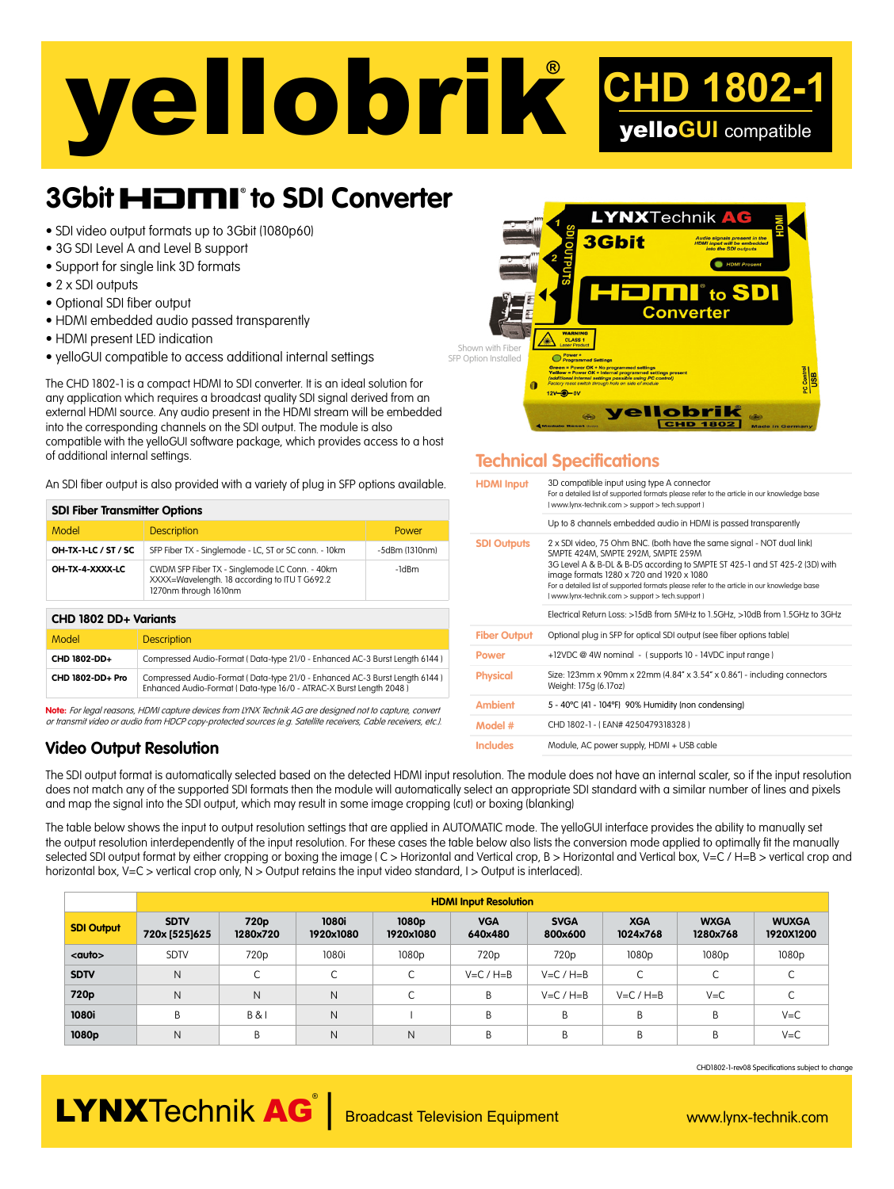# yellobrik**® CHD 1802-1** yello**GUI** compatible

### **3Gbit HDMI**<sup>to</sup> SDI Converter

- SDI video output formats up to 3Gbit (1080p60)
- 3G SDI Level A and Level B support
- Support for single link 3D formats
- 2 x SDI outputs
- Optional SDI fiber output
- HDMI embedded audio passed transparently
- HDMI present LED indication
- yelloGUI compatible to access additional internal settings

The CHD 1802-1 is a compact HDMI to SDI converter. It is an ideal solution for any application which requires a broadcast quality SDI signal derived from an external HDMI source. Any audio present in the HDMI stream will be embedded into the corresponding channels on the SDI output. The module is also compatible with the yelloGUI software package, which provides access to a host of additional internal settings.

An SDI fiber output is also provided with a variety of plug in SFP options available.

| <b>SDI Fiber Transmitter Options</b> |                                                                                                                          |                |  |  |  |  |  |  |
|--------------------------------------|--------------------------------------------------------------------------------------------------------------------------|----------------|--|--|--|--|--|--|
| Model                                | <b>Description</b>                                                                                                       | Power          |  |  |  |  |  |  |
| OH-TX-1-LC / ST / SC                 | SFP Fiber TX - Singlemode - LC, ST or SC conn. - 10km                                                                    | -5dBm (1310nm) |  |  |  |  |  |  |
| OH-TX-4-XXXX-LC                      | CWDM SFP Fiber TX - Singlemode LC Conn. - 40km<br>XXXX=Wavelength. 18 according to ITU T G692.2<br>1270nm through 1610nm | -1dBm          |  |  |  |  |  |  |
| CHD 1802 DD+ Variants                |                                                                                                                          |                |  |  |  |  |  |  |
| Model                                | <b>Description</b>                                                                                                       |                |  |  |  |  |  |  |
| CHD 1802-DD+                         | Compressed Audio-Format (Data-type 21/0 - Enhanced AC-3 Burst Length 6144)                                               |                |  |  |  |  |  |  |
| CHD 1802-DD+ Pro                     | Compressed Audio-Format (Data-type 21/0 - Enhanced AC-3 Burst Length 6144)                                               |                |  |  |  |  |  |  |

Note: For legal reasons, HDMI capture devices from LYNX Technik AG are designed not to capture, convent or transmit video or audio from HDCP copy-protected sources (e.g. Satellite receivers, Cable receivers, etc.).

Enhanced Audio-Format ( Data-type 16/0 - ATRAC-X Burst Length 2048 )

#### **Video Output Resolution**



#### **Technical Specifications**

| <b>HDMI</b> Input   | 3D compatible input using type A connector<br>For a detailed list of supported formats please refer to the article in our knowledge base<br>(www.lynx-technik.com > support > tech.support)                                                                                                                                                                                              |
|---------------------|------------------------------------------------------------------------------------------------------------------------------------------------------------------------------------------------------------------------------------------------------------------------------------------------------------------------------------------------------------------------------------------|
|                     | Up to 8 channels embedded audio in HDMI is passed transparently                                                                                                                                                                                                                                                                                                                          |
| <b>SDI Outputs</b>  | 2 x SDI video, 75 Ohm BNC. (both have the same signal - NOT dual link)<br>SMPTE 424M, SMPTE 292M, SMPTE 259M<br>3G Level A & B-DL & B-DS according to SMPTE ST 425-1 and ST 425-2 (3D) with<br>image formats 1280 x 720 and 1920 x 1080<br>For a detailed list of supported formats please refer to the article in our knowledge base<br>(www.lynx-technik.com > support > tech.support) |
|                     | Electrical Return Loss: >15dB from 5MHz to 1.5GHz, >10dB from 1.5GHz to 3GHz                                                                                                                                                                                                                                                                                                             |
| <b>Fiber Output</b> | Optional plug in SFP for optical SDI output (see fiber options table)                                                                                                                                                                                                                                                                                                                    |
| <b>Power</b>        | +12VDC @ 4W nominal - (supports 10 - 14VDC input range)                                                                                                                                                                                                                                                                                                                                  |
| <b>Physical</b>     | Size: 123mm x 90mm x 22mm $(4.84'' \times 3.54'' \times 0.86'')$ - including connectors<br>Weight: 175g (6.17oz)                                                                                                                                                                                                                                                                         |
| <b>Ambient</b>      | 5 - 40°C (41 - 104°F) 90% Humidity (non condensing)                                                                                                                                                                                                                                                                                                                                      |
| Model #             | CHD 1802-1 - (EAN# 4250479318328)                                                                                                                                                                                                                                                                                                                                                        |
| <b>Includes</b>     | Module, AC power supply, HDMI + USB cable                                                                                                                                                                                                                                                                                                                                                |

The SDI output format is automatically selected based on the detected HDMI input resolution. The module does not have an internal scaler, so if the input resolution does not match any of the supported SDI formats then the module will automatically select an appropriate SDI standard with a similar number of lines and pixels and map the signal into the SDI output, which may result in some image cropping (cut) or boxing (blanking)

The table below shows the input to output resolution settings that are applied in AUTOMATIC mode. The yelloGUI interface provides the ability to manually set the output resolution interdependently of the input resolution. For these cases the table below also lists the conversion mode applied to optimally fit the manually selected SDI output format by either cropping or boxing the image (C > Horizontal and Vertical crop, B > Horizontal and Vertical box, V=C / H=B > vertical crop and horizontal box, V=C > vertical crop only, N > Output retains the input video standard, I > Output is interlaced).

|                   | <b>HDMI Input Resolution</b> |                              |                           |                                |                       |                        |                        |                         |                           |  |  |
|-------------------|------------------------------|------------------------------|---------------------------|--------------------------------|-----------------------|------------------------|------------------------|-------------------------|---------------------------|--|--|
| <b>SDI Output</b> | <b>SDTV</b><br>720x [525]625 | 720 <sub>p</sub><br>1280×720 | <b>1080i</b><br>1920×1080 | 1080 <sub>p</sub><br>1920×1080 | <b>VGA</b><br>640×480 | <b>SVGA</b><br>800×600 | <b>XGA</b><br>1024×768 | <b>WXGA</b><br>1280×768 | <b>WUXGA</b><br>1920X1200 |  |  |
| <auto></auto>     | <b>SDTV</b>                  | 720 <sub>p</sub>             | 1080i                     | 1080 <sub>p</sub>              | 720 <sub>p</sub>      | 720 <sub>p</sub>       | 1080 <sub>p</sub>      | 1080 <sub>p</sub>       | 1080p                     |  |  |
| <b>SDTV</b>       | N                            |                              | $\sqrt{2}$<br>J           | $\sqrt{2}$<br>J                | $V=C/H=B$             | $V=C/H=B$              | C                      | $\sqrt{2}$<br>◡         |                           |  |  |
| 720 <sub>p</sub>  | N                            | N                            | $\mathsf{N}$              | $\sqrt{2}$                     | B                     | $V=C/H=B$              | $V=C/H=B$              | $V = C$                 |                           |  |  |
| 1080i             | B                            | B &                          | N                         |                                | B                     | B                      | B                      | B                       | $V = C$                   |  |  |
| 1080p             | N                            | B                            | N                         | N                              | B                     | B                      | B                      | B                       | $V = C$                   |  |  |

CHD1802-1-rev08 Specifications subject to change

# LYNXTechnik AG<sup>®</sup> Broadcast Television Equipment www.lynx-technik.com